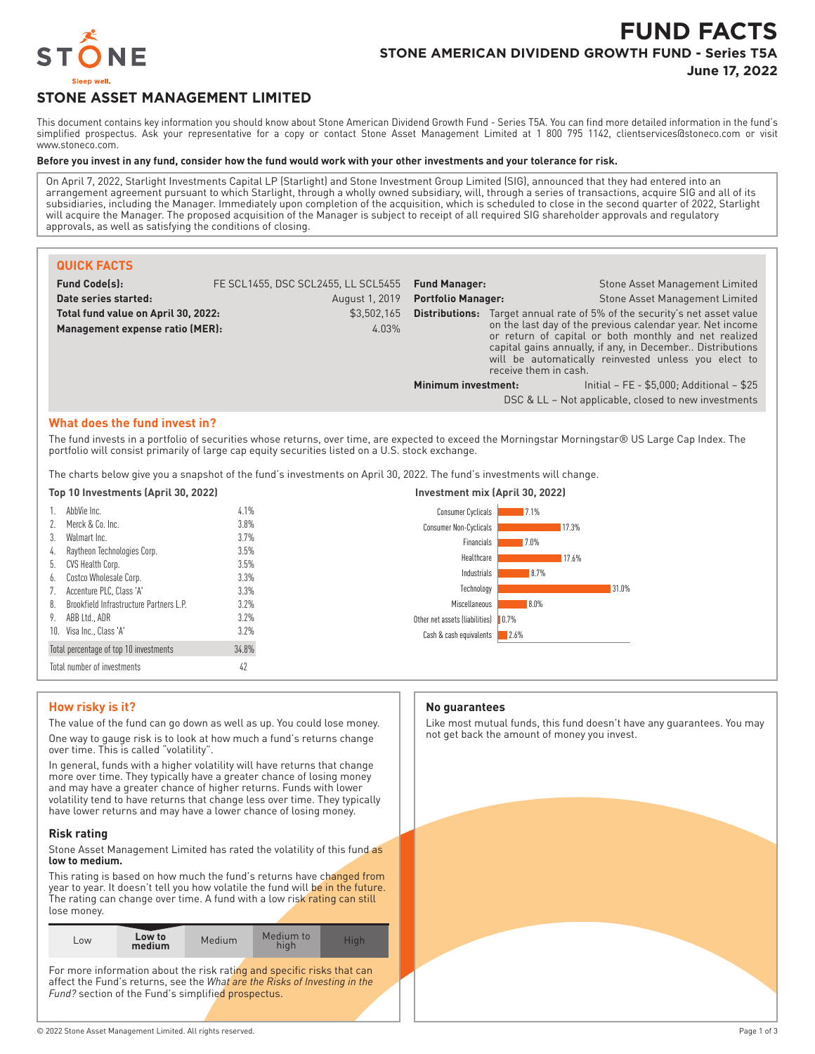

# **FUND FACTS STONE AMERICAN DIVIDEND GROWTH FUND - Series T5A**

**June 17, 2022**

## **STONE ASSET MANAGEMENT LIMITED**

This document contains key information you should know about Stone American Dividend Growth Fund - Series T5A. You can find more detailed information in the fund's simplified prospectus. Ask your representative for a copy or contact Stone Asset Management Limited at 1 800 795 1142, clientservices@stoneco.com or visit www.stoneco.com.

#### **Before you invest in any fund, consider how the fund would work with your other investments and your tolerance for risk.**

On April 7, 2022, Starlight Investments Capital LP (Starlight) and Stone Investment Group Limited (SIG), announced that they had entered into an arrangement agreement pursuant to which Starlight, through a wholly owned subsidiary, will, through a series of transactions, acquire SIG and all of its subsidiaries, including the Manager. Immediately upon completion of the acquisition, which is scheduled to close in the second quarter of 2022, Starlight will acquire the Manager. The proposed acquisition of the Manager is subject to receipt of all required SIG shareholder approvals and regulatory approvals, as well as satisfying the conditions of closing.

| <b>QUICK FACTS</b>                  |                                     |                           |                       |                                                                                                                                                                                                                                         |
|-------------------------------------|-------------------------------------|---------------------------|-----------------------|-----------------------------------------------------------------------------------------------------------------------------------------------------------------------------------------------------------------------------------------|
| <b>Fund Code(s):</b>                | FE SCL1455, DSC SCL2455, LL SCL5455 | <b>Fund Manager:</b>      |                       | <b>Stone Asset Management Limited</b>                                                                                                                                                                                                   |
| Date series started:                | August 1, 2019                      | <b>Portfolio Manager:</b> |                       | <b>Stone Asset Management Limited</b>                                                                                                                                                                                                   |
| Total fund value on April 30, 2022: | \$3,502,165                         | Distributions:            |                       | Target annual rate of 5% of the security's net asset value                                                                                                                                                                              |
| Management expense ratio (MER):     | 4.03%                               |                           | receive them in cash. | on the last day of the previous calendar year. Net income<br>or return of capital or both monthly and net realized<br>capital gains annually, if any, in December Distributions<br>will be automatically reinvested unless you elect to |
|                                     |                                     | Minimum investment:       |                       | Initial - FE - \$5,000; Additional - \$25<br>DSC & LL - Not applicable, closed to new investments                                                                                                                                       |

#### **What does the fund invest in?**

The fund invests in a portfolio of securities whose returns, over time, are expected to exceed the Morningstar Morningstar® US Large Cap Index. The portfolio will consist primarily of large cap equity securities listed on a U.S. stock exchange.

The charts below give you a snapshot of the fund's investments on April 30, 2022. The fund's investments will change.

| Top 10 Investments (April 30, 2022) |                                                |       | Investment mix (April 30, 2022)                       |  |
|-------------------------------------|------------------------------------------------|-------|-------------------------------------------------------|--|
|                                     | AbbVie Inc.                                    | 4.1%  | Consumer Cyclicals<br>17.1%                           |  |
| 2.                                  | Merck & Co. Inc.                               | 3.8%  | <b>Consumer Non-Cyclicals</b><br>17.3%                |  |
| 3.                                  | Walmart Inc.                                   | 3.7%  | Financials<br>$17.0\%$                                |  |
| 4.                                  | Raytheon Technologies Corp.                    | 3.5%  | Healthcare<br>17.6%                                   |  |
| 5.                                  | CVS Health Corp.                               | 3.5%  |                                                       |  |
| 6.                                  | Costco Wholesale Corp.                         | 3.3%  | Industrials<br>8.7%                                   |  |
|                                     | Accenture PLC, Class 'A'                       | 3.3%  | 31.0%<br>Technology                                   |  |
| 8.                                  | <b>Brookfield Infrastructure Partners L.P.</b> | 3.2%  | Miscellaneous<br>$8.0\%$                              |  |
| 9.                                  | ABB I td., ADR                                 | 3.2%  | Other net assets (liabilities)<br>$\blacksquare$ 0.7% |  |
|                                     | 10. Visa Inc., Class 'A'                       | 3.2%  | 2.6%<br>Cash & cash equivalents                       |  |
|                                     | Total percentage of top 10 investments         | 34.8% |                                                       |  |
|                                     | Total number of investments                    | 42    |                                                       |  |

## **How risky is it?**

The value of the fund can go down as well as up. You could lose money.

One way to gauge risk is to look at how much a fund's returns change over time. This is called "volatility".

In general, funds with a higher volatility will have returns that change more over time. They typically have a greater chance of losing money and may have a greater chance of higher returns. Funds with lower volatility tend to have returns that change less over time. They typically have lower returns and may have a lower chance of losing money.

#### **Risk rating**

Stone Asset Management Limited has rated the volatility of this fund as **low to medium.**

This rating is based on how much the fund's returns have changed from year to year. It doesn't tell you how volatile the fund will be in the future. The rating can change over time. A fund with a low risk rating can still lose money.

| Low                                                                                                                                                                                                       | Low to<br>medium | Medium | Medium to<br>high | High |
|-----------------------------------------------------------------------------------------------------------------------------------------------------------------------------------------------------------|------------------|--------|-------------------|------|
| For more information about the risk rating and specific risks that can<br>affect the Fund's returns, see the What are the Risks of Investing in the<br>Fund? section of the Fund's simplified prospectus. |                  |        |                   |      |

#### **No guarantees**

Like most mutual funds, this fund doesn't have any guarantees. You may not get back the amount of money you invest.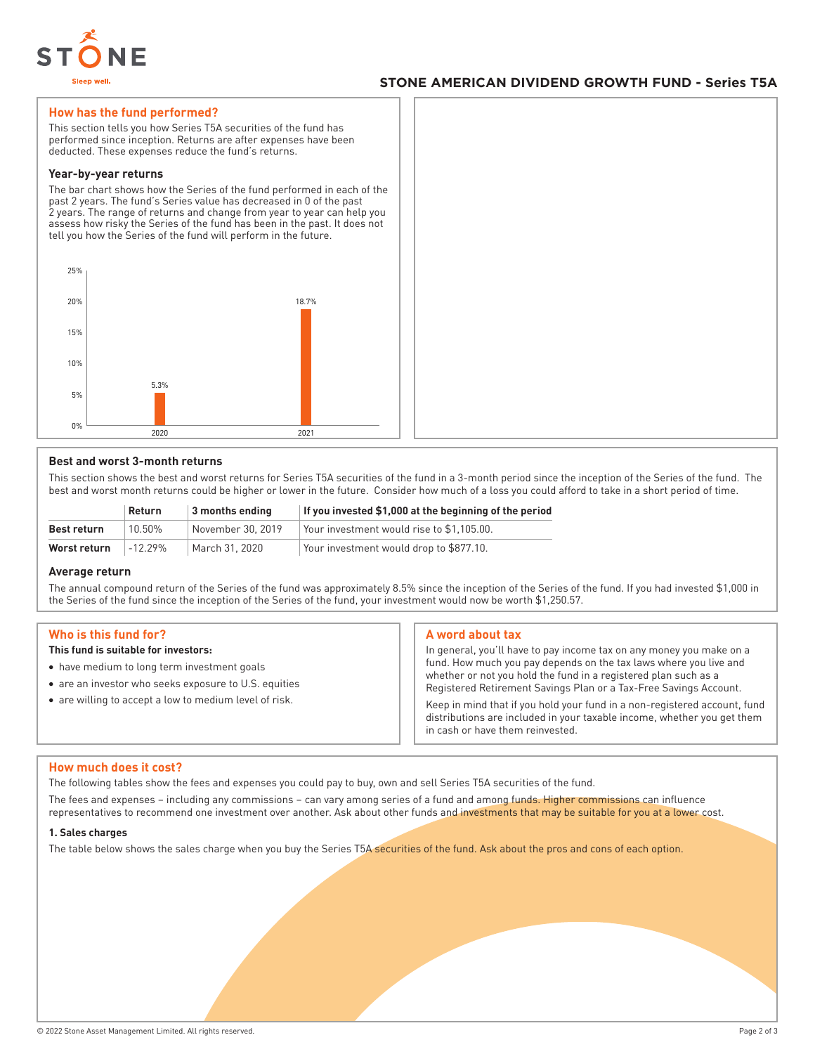

## **STONE AMERICAN DIVIDEND GROWTH FUND - Series T5A**

#### **How has the fund performed?**

This section tells you how Series T5A securities of the fund has performed since inception. Returns are after expenses have been deducted. These expenses reduce the fund's returns.

#### **Year-by-year returns**

The bar chart shows how the Series of the fund performed in each of the past 2 years. The fund's Series value has decreased in 0 of the past 2 years. The range of returns and change from year to year can help you assess how risky the Series of the fund has been in the past. It does not tell you how the Series of the fund will perform in the future.



#### **Best and worst 3-month returns**

This section shows the best and worst returns for Series T5A securities of the fund in a 3-month period since the inception of the Series of the fund. The best and worst month returns could be higher or lower in the future. Consider how much of a loss you could afford to take in a short period of time.

|              | Return   | 3 months ending   | If you invested \$1,000 at the beginning of the period |
|--------------|----------|-------------------|--------------------------------------------------------|
| Best return  | 10.50%   | November 30, 2019 | Your investment would rise to \$1.105.00.              |
| Worst return | $-1229%$ | March 31, 2020    | Your investment would drop to \$877.10.                |

#### **Average return**

The annual compound return of the Series of the fund was approximately 8.5% since the inception of the Series of the fund. If you had invested \$1,000 in the Series of the fund since the inception of the Series of the fund, your investment would now be worth \$1,250.57.

#### **Who is this fund for?**

#### **This fund is suitable for investors:**

- have medium to long term investment goals
- are an investor who seeks exposure to U.S. equities
- are willing to accept a low to medium level of risk.

#### **A word about tax**

In general, you'll have to pay income tax on any money you make on a fund. How much you pay depends on the tax laws where you live and whether or not you hold the fund in a registered plan such as a Registered Retirement Savings Plan or a Tax-Free Savings Account.

Keep in mind that if you hold your fund in a non-registered account, fund distributions are included in your taxable income, whether you get them in cash or have them reinvested.

#### **How much does it cost?**

The following tables show the fees and expenses you could pay to buy, own and sell Series T5A securities of the fund.

The fees and expenses – including any commissions – can vary among series of a fund and among funds. Higher commissions can influence representatives to recommend one investment over another. Ask about other funds and investments that may be suitable for you at a lower cost.

#### **1. Sales charges**

The table below shows the sales charge when you buy the Series T5A securities of the fund. Ask about the pros and cons of each option.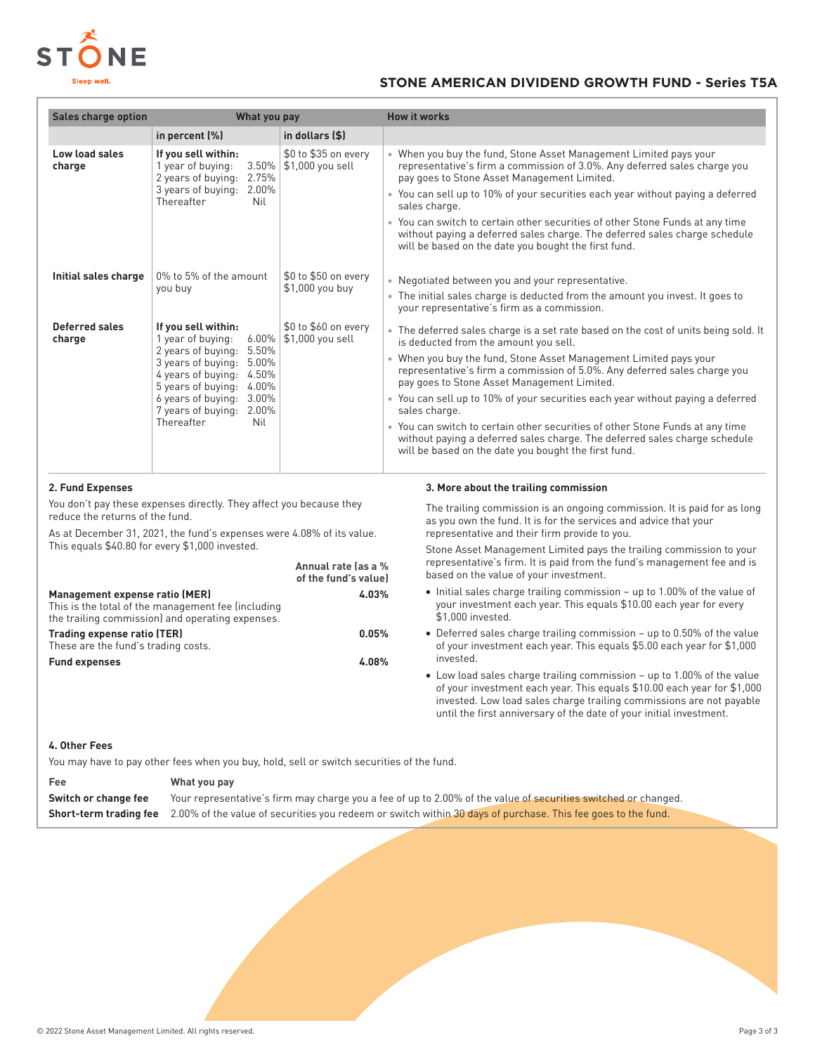

## **STONE AMERICAN DIVIDEND GROWTH FUND - Series T5A**

| <b>Sales charge option</b>                                                                                                                                                                                                                                                                            | What you pay                                                                                                                                                                                                                                            |                                          | <b>How it works</b>                                                                                                                                                                                                                                                                                                                                                                                                                                                                                                                                                                                                                                      |  |  |
|-------------------------------------------------------------------------------------------------------------------------------------------------------------------------------------------------------------------------------------------------------------------------------------------------------|---------------------------------------------------------------------------------------------------------------------------------------------------------------------------------------------------------------------------------------------------------|------------------------------------------|----------------------------------------------------------------------------------------------------------------------------------------------------------------------------------------------------------------------------------------------------------------------------------------------------------------------------------------------------------------------------------------------------------------------------------------------------------------------------------------------------------------------------------------------------------------------------------------------------------------------------------------------------------|--|--|
|                                                                                                                                                                                                                                                                                                       | in percent (%)                                                                                                                                                                                                                                          | in dollars (\$)                          |                                                                                                                                                                                                                                                                                                                                                                                                                                                                                                                                                                                                                                                          |  |  |
| Low load sales<br>charge                                                                                                                                                                                                                                                                              | If you sell within:<br>1 year of buying:<br>3.50%<br>2 years of buying:<br>2.75%<br>3 years of buying: 2.00%<br>Thereafter<br>Nil                                                                                                                       | \$0 to \$35 on every<br>\$1,000 you sell | • When you buy the fund, Stone Asset Management Limited pays your<br>representative's firm a commission of 3.0%. Any deferred sales charge you<br>pay goes to Stone Asset Management Limited.<br>• You can sell up to 10% of your securities each year without paying a deferred<br>sales charge.<br>• You can switch to certain other securities of other Stone Funds at any time<br>without paying a deferred sales charge. The deferred sales charge schedule<br>will be based on the date you bought the first fund.                                                                                                                                 |  |  |
| Initial sales charge                                                                                                                                                                                                                                                                                  | 0% to 5% of the amount<br>you buy                                                                                                                                                                                                                       | \$0 to \$50 on every<br>\$1,000 you buy  | • Negotiated between you and your representative.<br>• The initial sales charge is deducted from the amount you invest. It goes to<br>your representative's firm as a commission.                                                                                                                                                                                                                                                                                                                                                                                                                                                                        |  |  |
| <b>Deferred sales</b><br>charge                                                                                                                                                                                                                                                                       | If you sell within:<br>1 year of buying:<br>6.00%<br>5.50%<br>2 years of buying:<br>3 years of buying:<br>5.00%<br>4 years of buying: 4.50%<br>5 years of buying: 4.00%<br>6 years of buying:<br>3.00%<br>7 years of buying: 2.00%<br>Thereafter<br>Nil | \$0 to \$60 on every<br>\$1,000 you sell | • The deferred sales charge is a set rate based on the cost of units being sold. It<br>is deducted from the amount you sell.<br>• When you buy the fund, Stone Asset Management Limited pays your<br>representative's firm a commission of 5.0%. Any deferred sales charge you<br>pay goes to Stone Asset Management Limited.<br>• You can sell up to 10% of your securities each year without paying a deferred<br>sales charge.<br>• You can switch to certain other securities of other Stone Funds at any time<br>without paying a deferred sales charge. The deferred sales charge schedule<br>will be based on the date you bought the first fund. |  |  |
| 2. Fund Expenses<br>You don't pay these expenses directly. They affect you because they<br>reduce the returns of the fund.<br>As at December 31, 2021, the fund's expenses were 4.08% of its value.<br>This equals \$40.80 for every \$1,000 invested.<br>Annual rate (as a %<br>of the fund's value) |                                                                                                                                                                                                                                                         |                                          | 3. More about the trailing commission<br>The trailing commission is an ongoing commission. It is paid for as long<br>as you own the fund. It is for the services and advice that your<br>representative and their firm provide to you.<br>Stone Asset Management Limited pays the trailing commission to your<br>representative's firm. It is paid from the fund's management fee and is<br>based on the value of your investment.                                                                                                                                                                                                                       |  |  |
| Management expense ratio (MER)<br>This is the total of the management fee (including<br>the trailing commission) and operating expenses.<br><b>Trading expense ratio (TER)</b>                                                                                                                        |                                                                                                                                                                                                                                                         | 4.03%<br>0.05%                           | • Initial sales charge trailing commission - up to 1.00% of the value of<br>your investment each year. This equals \$10.00 each year for every<br>\$1.000 invested.<br>• Deferred sales charge trailing commission - up to 0.50% of the value                                                                                                                                                                                                                                                                                                                                                                                                            |  |  |

- These are the fund's trading costs. **Fund expenses 4.08%**
- of your investment each year. This equals \$5.00 each year for \$1,000 invested.
- Low load sales charge trailing commission up to 1.00% of the value of your investment each year. This equals \$10.00 each year for \$1,000 invested. Low load sales charge trailing commissions are not payable until the first anniversary of the date of your initial investment.

## **4. Other Fees**

You may have to pay other fees when you buy, hold, sell or switch securities of the fund.

| Fee                  | What you pay                                                                                                                               |
|----------------------|--------------------------------------------------------------------------------------------------------------------------------------------|
| Switch or change fee | Your representative's firm may charge you a fee of up to 2.00% of the value of securities switched or changed.                             |
|                      | <b>Short-term trading fee</b> 2.00% of the value of securities you redeem or switch within 30 days of purchase. This fee goes to the fund. |